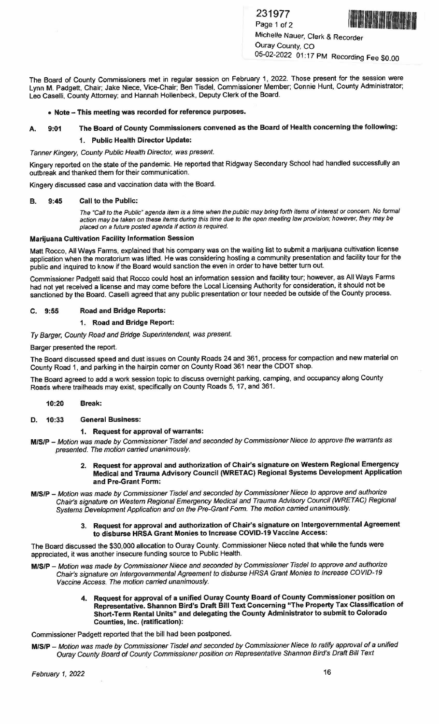231977



Page 1 of 2 1111111/ffll~lll"IIIII Michelle Nauer, Clerk & Recorder Ouray County, CO 05-02-2022 01:17 PM Recording Fee \$0.00

The Board of County Commissioners met in regular session on February 1, 2022. Those present for the session were Lynn M. Padgett, Chair; Jake Niece, Vice-Chair; Ben Tisdel, Commissioner Member; Connie Hunt, County Administrator; Leo Caselli, County Attorney; and Hannah Hollenbeck, Deputy Clerk of the Board.

# • **Note-This meeting was recorded for reference purposes.**

# **A. 9:01 The Board of County Commissioners convened as the Board of Health concerning the following:**

#### **1. Public Health Director Update:**

#### Tanner Kingery, County Public Health Director, was present.

Kingery reported on the state of the pandemic. He reported that Ridgway Secondary School had handled successfully an outbreak and thanked them for their communication.

Kingery discussed case and vaccination data with the Board.

#### **B. 9:45 Call to the Public:**

The "Call to the Public" agenda item is a time when the public may bring forth items of interest or concern. No formal action may be taken on these items during this time due to the open meeting law provision; however, they may be placed on a future posted agenda *if* action is required.

# **Marijuana Cultivation Facility Information Session**

Matt Rocco, All Ways Farms, explained that his company was on the waiting list to submit a marijuana cultivation license application when the moratorium was lifted. He was considering hosting a community presentation and facility tour for the public and inquired to know if the Board would sanction the even in order to have better turn out.

Commissioner Padgett said that Rocco could host an information session and facility tour; however, as All Ways Farms had not yet received a license and may come before the Local Licensing Authority for consideration, it should not be sanctioned by the Board. Caselli agreed that any public presentation or tour needed be outside of the County process.

## **C. 9:55 Road and Bridge Reports:**

## **1. Road and Bridge Report:**

Ty Barger, County Road and Bridge Superintendent, was present.

Barger presented the report.

The Board discussed speed and dust issues on County Roads 24 and 361, process for compaction and new material on County Road 1, and parking in the hairpin corner on County Road 361 near the CDOT shop.

The Board agreed to add a work session topic to discuss overnight parking, camping, and occupancy along County Roads where trailheads may exist, specifically on County Roads 5, 17, and 361 .

## **10:20 Break:**

# **D. 10:33 General Business:**

# **1. Request for approval of warrants:**

- **MISIP** Motion was made by Commissioner Tisdel and seconded by Commissioner Niece to approve the warrants as presented. The motion carried unanimously.
	- **2. Request for approval and authorization of Chair's signature on Western Regional Emergency Medical and Trauma Advisory Council (WRETAC) Regional Systems Development Application and Pre-Grant Form:**
- **MISIP** Motion was made by Commissioner Tisdel and seconded by Commissioner Niece to approve and authorize Chair's signature on Westem Regional Emergency Medical and Trauma Advisory Council (WRETAC) Regional Systems Development Application and on the Pre-Grant Form. The motion carried unanimously.
	- **3. Request for approval and authorization of Chair's signature on Intergovernmental Agreement to disburse HRSA Grant Monies to Increase COVID-19 Vaccine Access:**

The Board discussed the \$30,000 allocation to Ouray County. Commissioner Niece noted that while the funds were appreciated, it was another insecure funding source to Public Health.

- **MISIP** Motion was made by Commissioner Niece and seconded by Commissioner Tisdel to approve and authorize Chair's signature on Intergovernmental Agreement to disburse HRSA Grant Monies to Increase COVID-19 Vaccine Access. The motion carried unanimously.
	- **4. Request for approval of a unified Ouray County Board of County Commissioner position on Representative. Shannon Bird's Draft Bill Text Concerning "The Property Tax Classification of Short-Tenn Rental Units" and delegating the County Administrator to submit to Colorado Counties, Inc. (ratification):**

Commissioner Padgett reported that the bill had been postponed.

**M/S/P** - Motion was made by Commissioner Tisdel and seconded by Commissioner Niece to ratify approval of a unified Ouray County Board of County Commissioner position on Representative Shannon Bird's Draft Bill Text

February 1, 2022 16